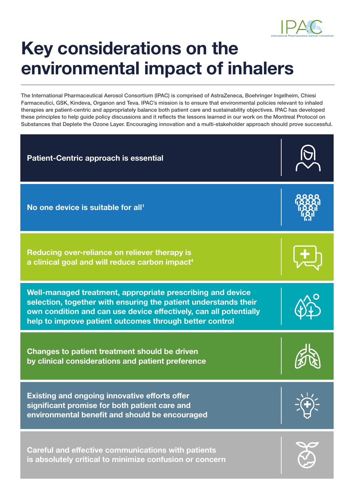

# **Key considerations on the environmental impact of inhalers**

The International Pharmaceutical Aerosol Consortium (IPAC) is comprised of AstraZeneca, Boehringer Ingelheim, Chiesi Farmaceutici, GSK, Kindeva, Organon and Teva. IPAC's mission is to ensure that environmental policies relevant to inhaled therapies are patient-centric and appropriately balance both patient care and sustainability objectives. IPAC has developed these principles to help guide policy discussions and it reflects the lessons learned in our work on the Montreal Protocol on Substances that Deplete the Ozone Layer. Encouraging innovation and a multi-stakeholder approach should prove successful.